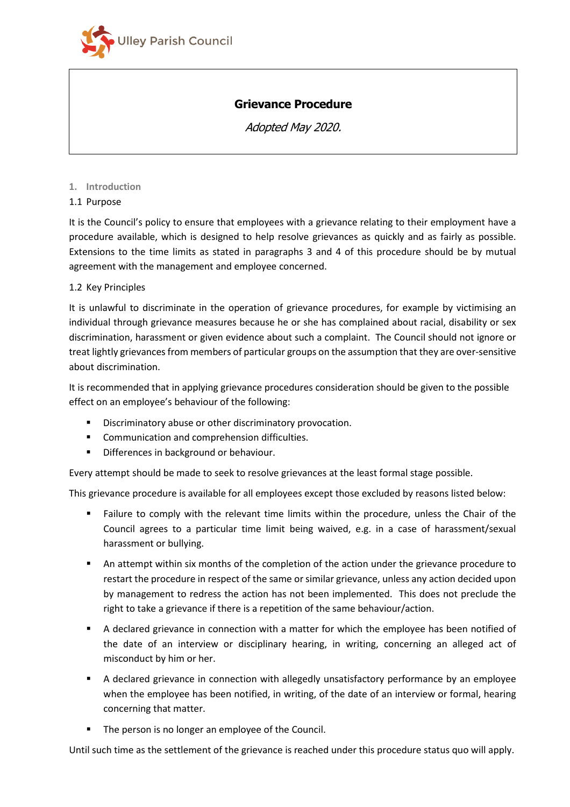

# **Grievance Procedure**

Adopted May 2020.

#### **1. Introduction**

### 1.1 Purpose

It is the Council's policy to ensure that employees with a grievance relating to their employment have a procedure available, which is designed to help resolve grievances as quickly and as fairly as possible. Extensions to the time limits as stated in paragraphs 3 and 4 of this procedure should be by mutual agreement with the management and employee concerned.

## 1.2 Key Principles

It is unlawful to discriminate in the operation of grievance procedures, for example by victimising an individual through grievance measures because he or she has complained about racial, disability or sex discrimination, harassment or given evidence about such a complaint. The Council should not ignore or treat lightly grievances from members of particular groups on the assumption that they are over-sensitive about discrimination.

It is recommended that in applying grievance procedures consideration should be given to the possible effect on an employee's behaviour of the following:

- **Discriminatory abuse or other discriminatory provocation.**
- **Communication and comprehension difficulties.**
- **Differences in background or behaviour.**

Every attempt should be made to seek to resolve grievances at the least formal stage possible.

This grievance procedure is available for all employees except those excluded by reasons listed below:

- Failure to comply with the relevant time limits within the procedure, unless the Chair of the Council agrees to a particular time limit being waived, e.g. in a case of harassment/sexual harassment or bullying.
- An attempt within six months of the completion of the action under the grievance procedure to restart the procedure in respect of the same or similar grievance, unless any action decided upon by management to redress the action has not been implemented. This does not preclude the right to take a grievance if there is a repetition of the same behaviour/action.
- A declared grievance in connection with a matter for which the employee has been notified of the date of an interview or disciplinary hearing, in writing, concerning an alleged act of misconduct by him or her.
- A declared grievance in connection with allegedly unsatisfactory performance by an employee when the employee has been notified, in writing, of the date of an interview or formal, hearing concerning that matter.
- The person is no longer an employee of the Council.

Until such time as the settlement of the grievance is reached under this procedure status quo will apply.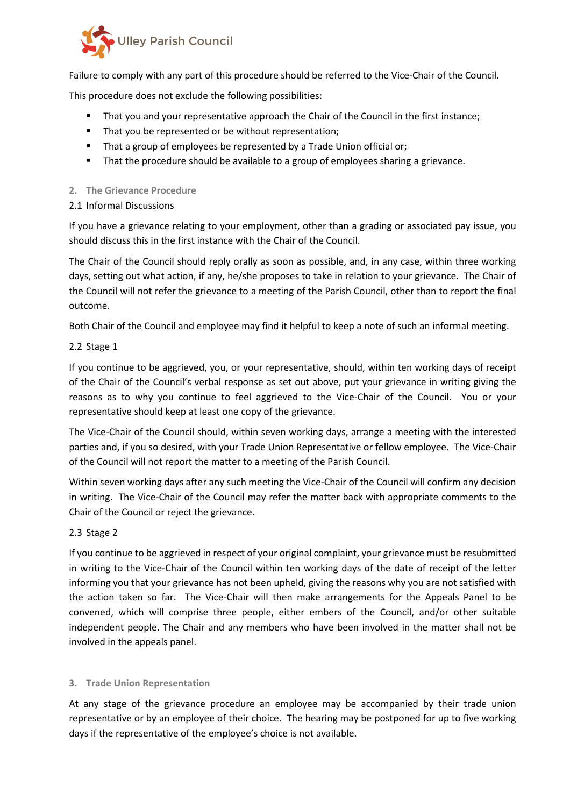

Failure to comply with any part of this procedure should be referred to the Vice-Chair of the Council.

This procedure does not exclude the following possibilities:

- That you and your representative approach the Chair of the Council in the first instance;
- That you be represented or be without representation;
- **That a group of employees be represented by a Trade Union official or;**
- That the procedure should be available to a group of employees sharing a grievance.

### **2. The Grievance Procedure**

2.1 Informal Discussions

If you have a grievance relating to your employment, other than a grading or associated pay issue, you should discuss this in the first instance with the Chair of the Council.

The Chair of the Council should reply orally as soon as possible, and, in any case, within three working days, setting out what action, if any, he/she proposes to take in relation to your grievance. The Chair of the Council will not refer the grievance to a meeting of the Parish Council, other than to report the final outcome.

Both Chair of the Council and employee may find it helpful to keep a note of such an informal meeting.

## 2.2 Stage 1

If you continue to be aggrieved, you, or your representative, should, within ten working days of receipt of the Chair of the Council's verbal response as set out above, put your grievance in writing giving the reasons as to why you continue to feel aggrieved to the Vice-Chair of the Council. You or your representative should keep at least one copy of the grievance.

The Vice-Chair of the Council should, within seven working days, arrange a meeting with the interested parties and, if you so desired, with your Trade Union Representative or fellow employee. The Vice-Chair of the Council will not report the matter to a meeting of the Parish Council.

Within seven working days after any such meeting the Vice-Chair of the Council will confirm any decision in writing. The Vice-Chair of the Council may refer the matter back with appropriate comments to the Chair of the Council or reject the grievance.

## 2.3 Stage 2

If you continue to be aggrieved in respect of your original complaint, your grievance must be resubmitted in writing to the Vice-Chair of the Council within ten working days of the date of receipt of the letter informing you that your grievance has not been upheld, giving the reasons why you are not satisfied with the action taken so far. The Vice-Chair will then make arrangements for the Appeals Panel to be convened, which will comprise three people, either embers of the Council, and/or other suitable independent people. The Chair and any members who have been involved in the matter shall not be involved in the appeals panel.

## **3. Trade Union Representation**

At any stage of the grievance procedure an employee may be accompanied by their trade union representative or by an employee of their choice. The hearing may be postponed for up to five working days if the representative of the employee's choice is not available.